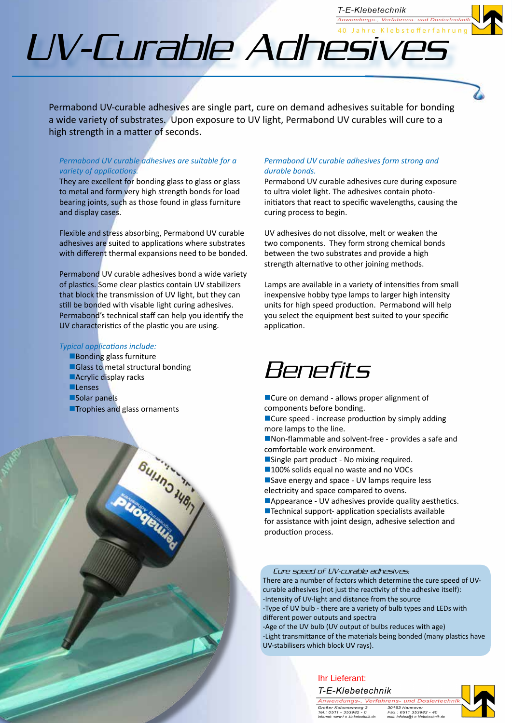# UV-Curable Adhesivesterrah

Permabond UV-curable adhesives are single part, cure on demand adhesives suitable for bonding a wide variety of substrates. Upon exposure to UV light, Permabond UV curables will cure to a high strength in a matter of seconds.

#### *Permabond UV curable adhesives are suitable for a variety of applications.*

They are excellent for bonding glass to glass or glass to metal and form very high strength bonds for load bearing joints, such as those found in glass furniture and display cases.

Flexible and stress absorbing, Permabond UV curable adhesives are suited to applications where substrates with different thermal expansions need to be bonded.

Permabond UV curable adhesives bond a wide variety of plastics. Some clear plastics contain UV stabilizers that block the transmission of UV light, but they can still be bonded with visable light curing adhesives. Permabond's technical staff can help you identify the UV characteristics of the plastic you are using.

Bulling Wert

#### *Typical applications include:*

- $\blacksquare$  Bonding glass furniture
- ■Glass to metal structural bonding **nAcrylic display racks Lenses Solar panels**
- **nTrophies and glass ornaments**

#### *Permabond UV curable adhesives form strong and durable bonds.*

Permabond UV curable adhesives cure during exposure to ultra violet light. The adhesives contain photoinitiators that react to specific wavelengths, causing the curing process to begin.

T-E-Klebetechnik Anwendungs-, Verfahrens- und Di

UV adhesives do not dissolve, melt or weaken the two components. They form strong chemical bonds between the two substrates and provide a high strength alternative to other joining methods.

Lamps are available in a variety of intensities from small inexpensive hobby type lamps to larger high intensity units for high speed production. Permabond will help you select the equipment best suited to your specific application.

### Benefits

■Cure on demand - allows proper alignment of components before bonding.

 $\blacksquare$  Cure speed - increase production by simply adding more lamps to the line.

■Non-flammable and solvent-free - provides a safe and comfortable work environment.

- Single part product No mixing required.
- ■100% solids equal no waste and no VOCs Save energy and space - UV lamps require less

electricity and space compared to ovens. ■Appearance - UV adhesives provide quality aesthetics.

 $\blacksquare$  Technical support- application specialists available for assistance with joint design, adhesive selection and production process.

#### Cure speed of UV-curable adhesives:

There are a number of factors which determine the cure speed of UVcurable adhesives (not just the reactivity of the adhesive itself): -Intensity of UV-light and distance from the source

-Type of UV bulb - there are a variety of bulb types and LEDs with different power outputs and spectra

-Age of the UV bulb (UV output of bulbs reduces with age) -Light transmittance of the materials being bonded (many plastics have UV-stabilisers which block UV rays).



Anwendungs-, Verfahrens- und Dosiertechr. Großer Kolonnenweg<br>Tel.: 0511 - 353982 - 0<br>internet: www.t-e-klebetechnik.de